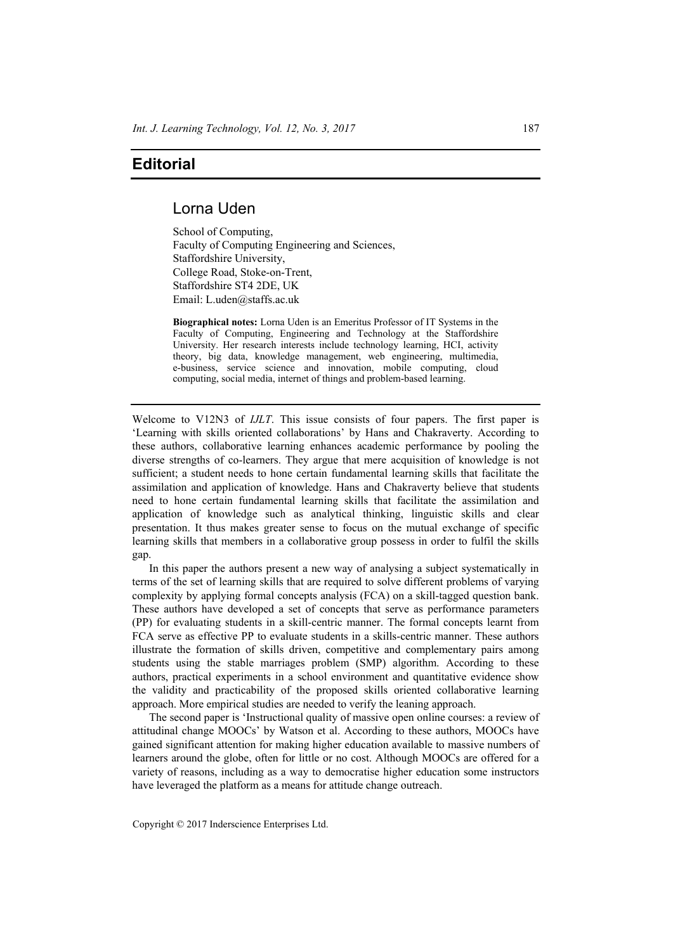## **Editorial**

## Lorna Uden

School of Computing, Faculty of Computing Engineering and Sciences, Staffordshire University, College Road, Stoke-on-Trent, Staffordshire ST4 2DE, UK Email: L.uden@staffs.ac.uk

**Biographical notes:** Lorna Uden is an Emeritus Professor of IT Systems in the Faculty of Computing, Engineering and Technology at the Staffordshire University. Her research interests include technology learning, HCI, activity theory, big data, knowledge management, web engineering, multimedia, e-business, service science and innovation, mobile computing, cloud computing, social media, internet of things and problem-based learning.

Welcome to V12N3 of *IJLT*. This issue consists of four papers. The first paper is 'Learning with skills oriented collaborations' by Hans and Chakraverty. According to these authors, collaborative learning enhances academic performance by pooling the diverse strengths of co-learners. They argue that mere acquisition of knowledge is not sufficient; a student needs to hone certain fundamental learning skills that facilitate the assimilation and application of knowledge. Hans and Chakraverty believe that students need to hone certain fundamental learning skills that facilitate the assimilation and application of knowledge such as analytical thinking, linguistic skills and clear presentation. It thus makes greater sense to focus on the mutual exchange of specific learning skills that members in a collaborative group possess in order to fulfil the skills gap.

In this paper the authors present a new way of analysing a subject systematically in terms of the set of learning skills that are required to solve different problems of varying complexity by applying formal concepts analysis (FCA) on a skill-tagged question bank. These authors have developed a set of concepts that serve as performance parameters (PP) for evaluating students in a skill-centric manner. The formal concepts learnt from FCA serve as effective PP to evaluate students in a skills-centric manner. These authors illustrate the formation of skills driven, competitive and complementary pairs among students using the stable marriages problem (SMP) algorithm. According to these authors, practical experiments in a school environment and quantitative evidence show the validity and practicability of the proposed skills oriented collaborative learning approach. More empirical studies are needed to verify the leaning approach.

The second paper is 'Instructional quality of massive open online courses: a review of attitudinal change MOOCs' by Watson et al. According to these authors, MOOCs have gained significant attention for making higher education available to massive numbers of learners around the globe, often for little or no cost. Although MOOCs are offered for a variety of reasons, including as a way to democratise higher education some instructors have leveraged the platform as a means for attitude change outreach.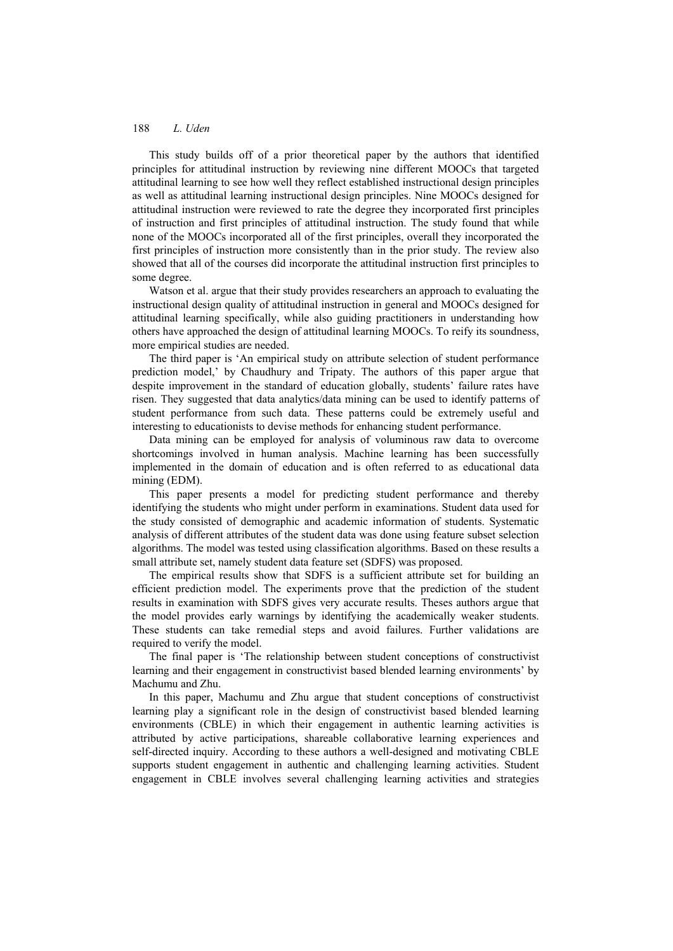## 188 *L. Uden*

This study builds off of a prior theoretical paper by the authors that identified principles for attitudinal instruction by reviewing nine different MOOCs that targeted attitudinal learning to see how well they reflect established instructional design principles as well as attitudinal learning instructional design principles. Nine MOOCs designed for attitudinal instruction were reviewed to rate the degree they incorporated first principles of instruction and first principles of attitudinal instruction. The study found that while none of the MOOCs incorporated all of the first principles, overall they incorporated the first principles of instruction more consistently than in the prior study. The review also showed that all of the courses did incorporate the attitudinal instruction first principles to some degree.

Watson et al. argue that their study provides researchers an approach to evaluating the instructional design quality of attitudinal instruction in general and MOOCs designed for attitudinal learning specifically, while also guiding practitioners in understanding how others have approached the design of attitudinal learning MOOCs. To reify its soundness, more empirical studies are needed.

The third paper is 'An empirical study on attribute selection of student performance prediction model,' by Chaudhury and Tripaty. The authors of this paper argue that despite improvement in the standard of education globally, students' failure rates have risen. They suggested that data analytics/data mining can be used to identify patterns of student performance from such data. These patterns could be extremely useful and interesting to educationists to devise methods for enhancing student performance.

Data mining can be employed for analysis of voluminous raw data to overcome shortcomings involved in human analysis. Machine learning has been successfully implemented in the domain of education and is often referred to as educational data mining (EDM).

This paper presents a model for predicting student performance and thereby identifying the students who might under perform in examinations. Student data used for the study consisted of demographic and academic information of students. Systematic analysis of different attributes of the student data was done using feature subset selection algorithms. The model was tested using classification algorithms. Based on these results a small attribute set, namely student data feature set (SDFS) was proposed.

The empirical results show that SDFS is a sufficient attribute set for building an efficient prediction model. The experiments prove that the prediction of the student results in examination with SDFS gives very accurate results. Theses authors argue that the model provides early warnings by identifying the academically weaker students. These students can take remedial steps and avoid failures. Further validations are required to verify the model.

The final paper is 'The relationship between student conceptions of constructivist learning and their engagement in constructivist based blended learning environments' by Machumu and Zhu.

In this paper, Machumu and Zhu argue that student conceptions of constructivist learning play a significant role in the design of constructivist based blended learning environments (CBLE) in which their engagement in authentic learning activities is attributed by active participations, shareable collaborative learning experiences and self-directed inquiry. According to these authors a well-designed and motivating CBLE supports student engagement in authentic and challenging learning activities. Student engagement in CBLE involves several challenging learning activities and strategies